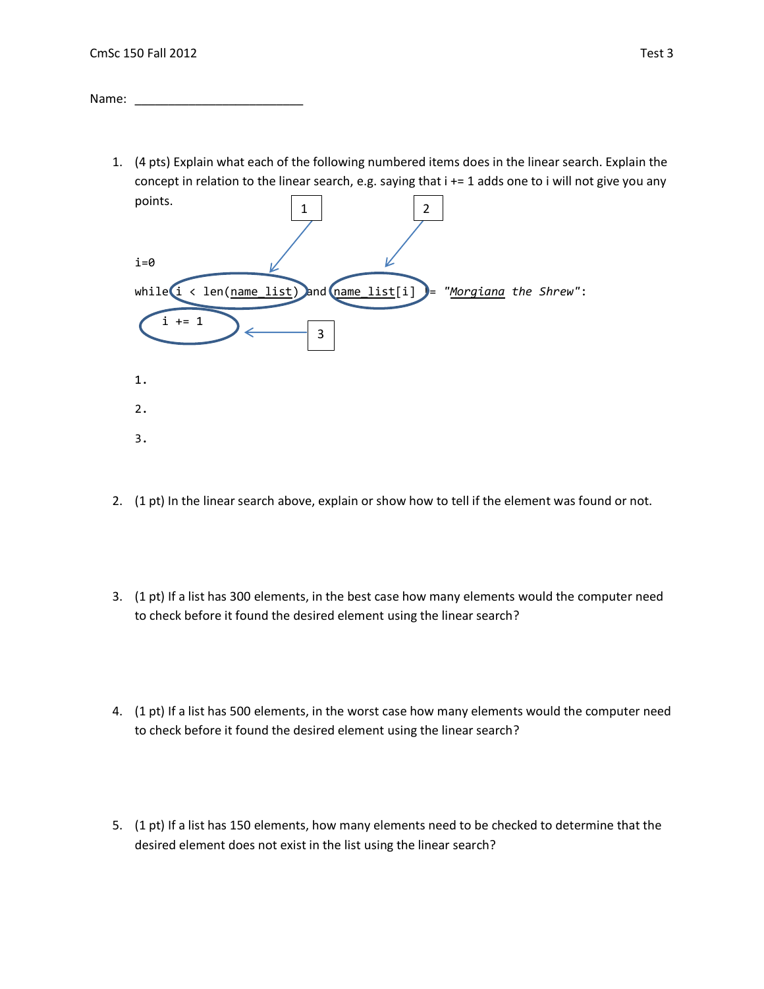Name:  $\_\_$ 

1. (4 pts) Explain what each of the following numbered items does in the linear search. Explain the concept in relation to the linear search, e.g. saying that i += 1 adds one to i will not give you any



- 2. (1 pt) In the linear search above, explain or show how to tell if the element was found or not.
- 3. (1 pt) If a list has 300 elements, in the best case how many elements would the computer need to check before it found the desired element using the linear search?
- 4. (1 pt) If a list has 500 elements, in the worst case how many elements would the computer need to check before it found the desired element using the linear search?
- 5. (1 pt) If a list has 150 elements, how many elements need to be checked to determine that the desired element does not exist in the list using the linear search?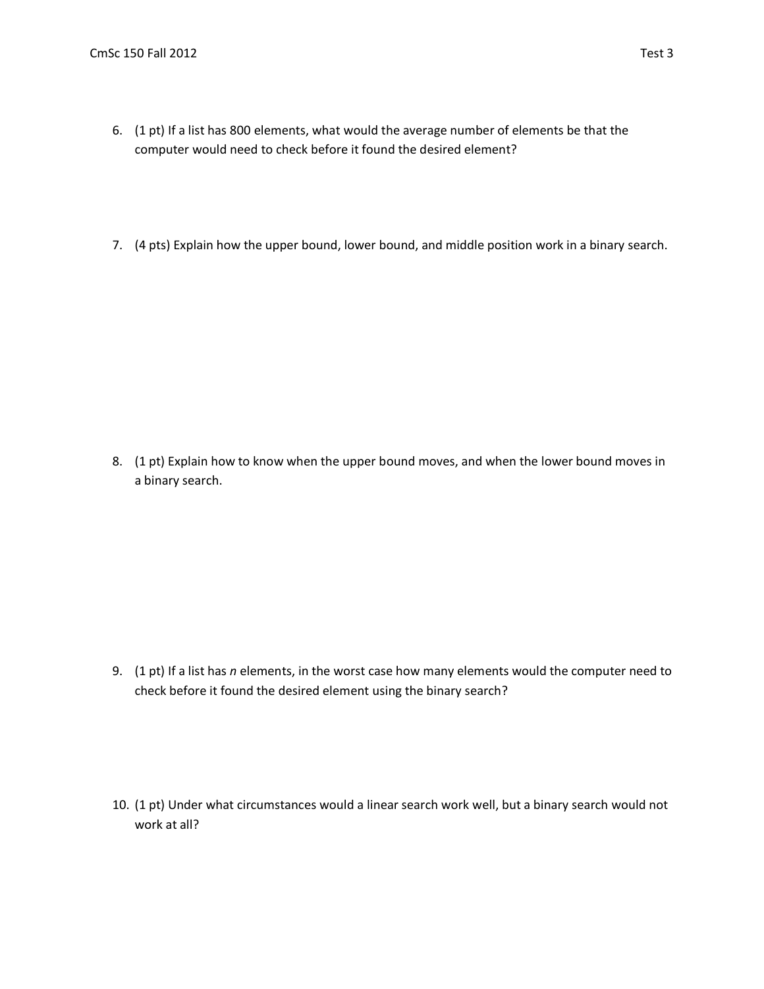- 6. (1 pt) If a list has 800 elements, what would the average number of elements be that the computer would need to check before it found the desired element?
- 7. (4 pts) Explain how the upper bound, lower bound, and middle position work in a binary search.

8. (1 pt) Explain how to know when the upper bound moves, and when the lower bound moves in a binary search.

9. (1 pt) If a list has *n* elements, in the worst case how many elements would the computer need to check before it found the desired element using the binary search?

10. (1 pt) Under what circumstances would a linear search work well, but a binary search would not work at all?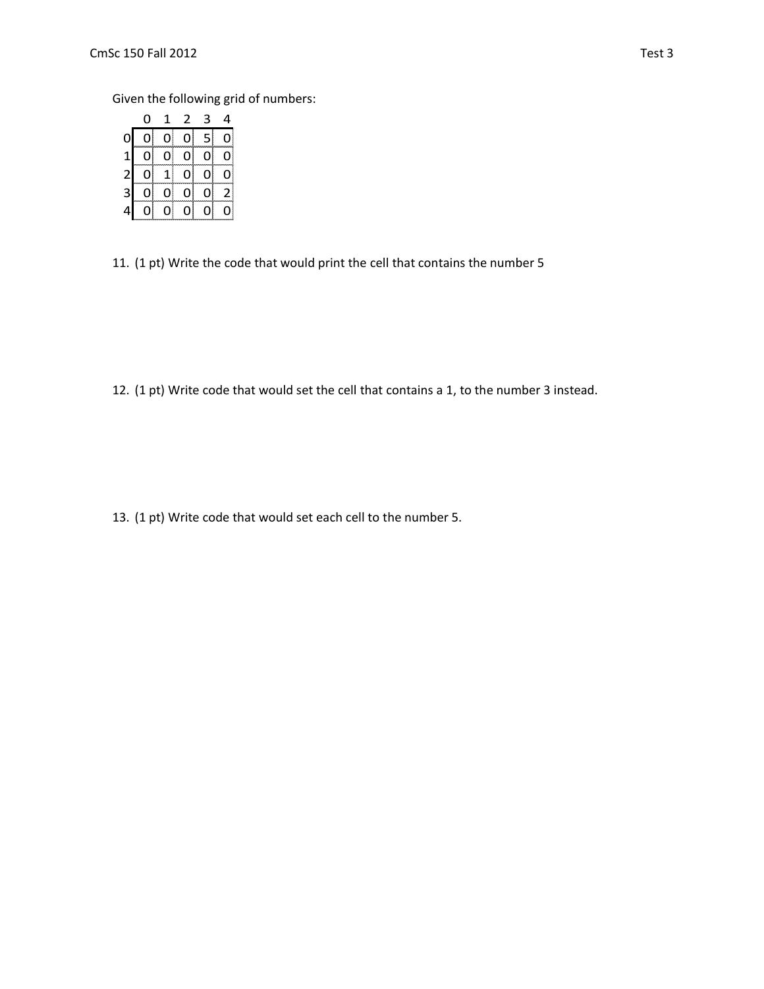Given the following grid of numbers:

|                                            | 0  | 1            | 2 | 3          | 4            |
|--------------------------------------------|----|--------------|---|------------|--------------|
| $\mathbf{0}$                               | 0  | 0            | 0 | 5          | 0            |
|                                            | 0  | 0            | 0 | accoo<br>0 | 0            |
| $\begin{array}{c} 1 \\ 2 \\ 3 \end{array}$ | 01 | $\mathbf{1}$ | 0 | oļ         | 0            |
|                                            | 0ļ | $ 0\rangle$  | 0 | 0          | $\mathsf{2}$ |
| $\overline{a}$                             | 0  | 01           | 0 | 0          | 0            |

11. (1 pt) Write the code that would print the cell that contains the number 5

12. (1 pt) Write code that would set the cell that contains a 1, to the number 3 instead.

13. (1 pt) Write code that would set each cell to the number 5.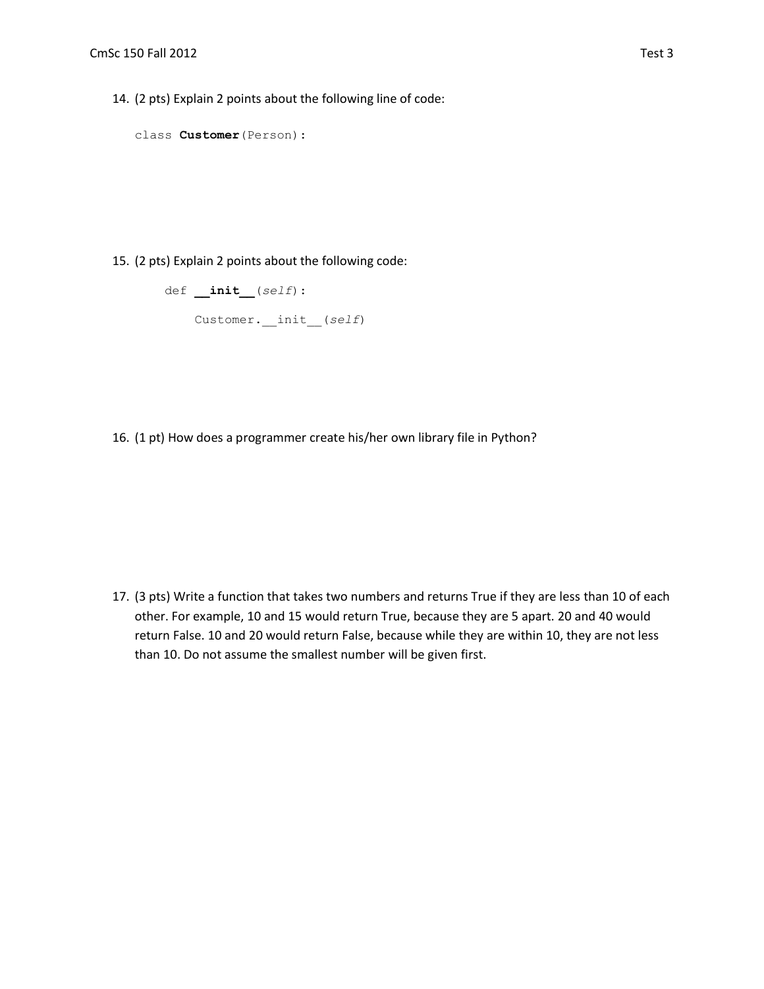14. (2 pts) Explain 2 points about the following line of code:

```
class Customer(Person):
```
15. (2 pts) Explain 2 points about the following code:

```
 def __init__(self):
Customer.__init__(self)
```
16. (1 pt) How does a programmer create his/her own library file in Python?

17. (3 pts) Write a function that takes two numbers and returns True if they are less than 10 of each other. For example, 10 and 15 would return True, because they are 5 apart. 20 and 40 would return False. 10 and 20 would return False, because while they are within 10, they are not less than 10. Do not assume the smallest number will be given first.